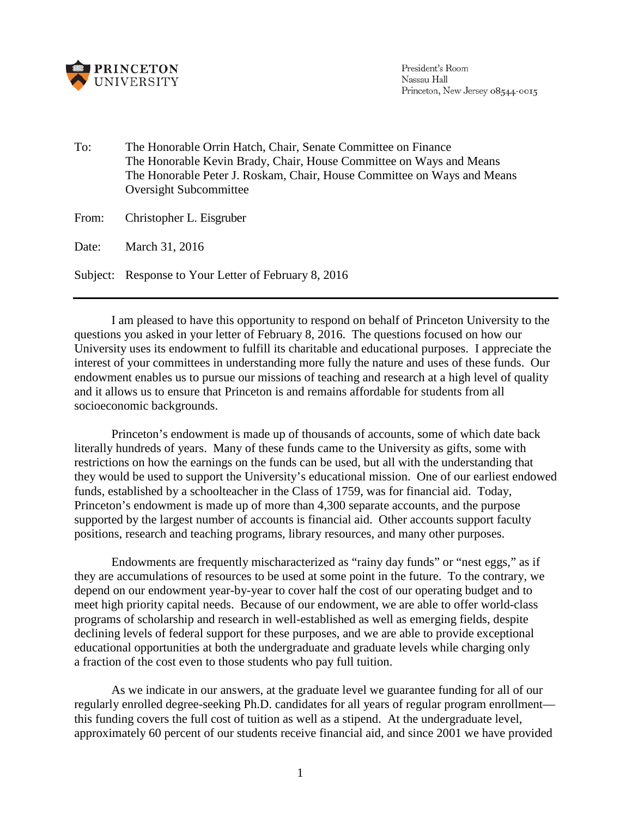

President's Room Nassau Hall Princeton, New Jersey 08544-0015

To: The Honorable Orrin Hatch, Chair, Senate Committee on Finance The Honorable Kevin Brady, Chair, House Committee on Ways and Means The Honorable Peter J. Roskam, Chair, House Committee on Ways and Means Oversight Subcommittee

From: Christopher L. Eisgruber

Date: March 31, 2016

Subject: Response to Your Letter of February 8, 2016

I am pleased to have this opportunity to respond on behalf of Princeton University to the questions you asked in your letter of February 8, 2016. The questions focused on how our University uses its endowment to fulfill its charitable and educational purposes. I appreciate the interest of your committees in understanding more fully the nature and uses of these funds. Our endowment enables us to pursue our missions of teaching and research at a high level of quality and it allows us to ensure that Princeton is and remains affordable for students from all socioeconomic backgrounds.

Princeton's endowment is made up of thousands of accounts, some of which date back literally hundreds of years. Many of these funds came to the University as gifts, some with restrictions on how the earnings on the funds can be used, but all with the understanding that they would be used to support the University's educational mission. One of our earliest endowed funds, established by a schoolteacher in the Class of 1759, was for financial aid. Today, Princeton's endowment is made up of more than 4,300 separate accounts, and the purpose supported by the largest number of accounts is financial aid. Other accounts support faculty positions, research and teaching programs, library resources, and many other purposes.

Endowments are frequently mischaracterized as "rainy day funds" or "nest eggs," as if they are accumulations of resources to be used at some point in the future. To the contrary, we depend on our endowment year-by-year to cover half the cost of our operating budget and to meet high priority capital needs. Because of our endowment, we are able to offer world-class programs of scholarship and research in well-established as well as emerging fields, despite declining levels of federal support for these purposes, and we are able to provide exceptional educational opportunities at both the undergraduate and graduate levels while charging only a fraction of the cost even to those students who pay full tuition.

As we indicate in our answers, at the graduate level we guarantee funding for all of our regularly enrolled degree-seeking Ph.D. candidates for all years of regular program enrollment this funding covers the full cost of tuition as well as a stipend. At the undergraduate level, approximately 60 percent of our students receive financial aid, and since 2001 we have provided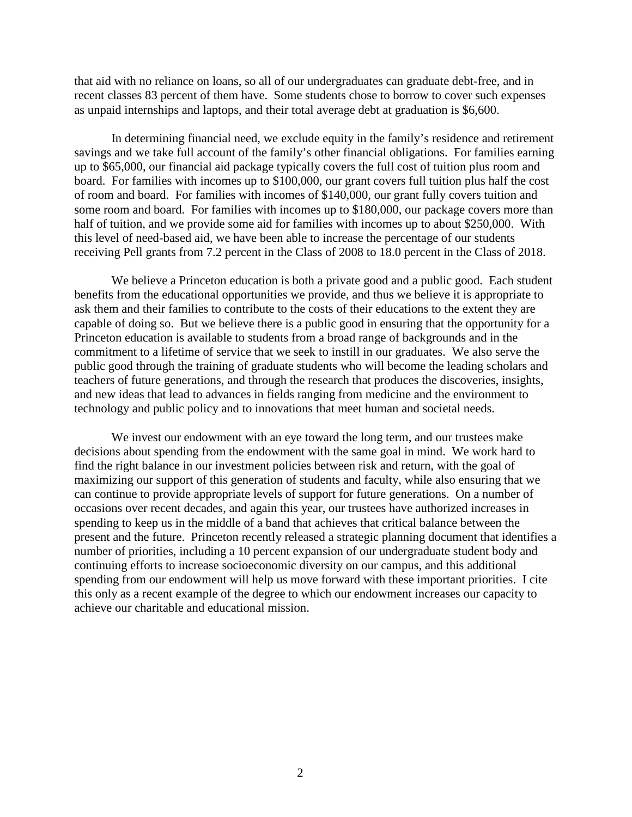that aid with no reliance on loans, so all of our undergraduates can graduate debt-free, and in recent classes 83 percent of them have. Some students chose to borrow to cover such expenses as unpaid internships and laptops, and their total average debt at graduation is \$6,600.

In determining financial need, we exclude equity in the family's residence and retirement savings and we take full account of the family's other financial obligations. For families earning up to \$65,000, our financial aid package typically covers the full cost of tuition plus room and board. For families with incomes up to \$100,000, our grant covers full tuition plus half the cost of room and board. For families with incomes of \$140,000, our grant fully covers tuition and some room and board. For families with incomes up to \$180,000, our package covers more than half of tuition, and we provide some aid for families with incomes up to about \$250,000. With this level of need-based aid, we have been able to increase the percentage of our students receiving Pell grants from 7.2 percent in the Class of 2008 to 18.0 percent in the Class of 2018.

We believe a Princeton education is both a private good and a public good. Each student benefits from the educational opportunities we provide, and thus we believe it is appropriate to ask them and their families to contribute to the costs of their educations to the extent they are capable of doing so. But we believe there is a public good in ensuring that the opportunity for a Princeton education is available to students from a broad range of backgrounds and in the commitment to a lifetime of service that we seek to instill in our graduates. We also serve the public good through the training of graduate students who will become the leading scholars and teachers of future generations, and through the research that produces the discoveries, insights, and new ideas that lead to advances in fields ranging from medicine and the environment to technology and public policy and to innovations that meet human and societal needs.

We invest our endowment with an eye toward the long term, and our trustees make decisions about spending from the endowment with the same goal in mind. We work hard to find the right balance in our investment policies between risk and return, with the goal of maximizing our support of this generation of students and faculty, while also ensuring that we can continue to provide appropriate levels of support for future generations. On a number of occasions over recent decades, and again this year, our trustees have authorized increases in spending to keep us in the middle of a band that achieves that critical balance between the present and the future. Princeton recently released a strategic planning document that identifies a number of priorities, including a 10 percent expansion of our undergraduate student body and continuing efforts to increase socioeconomic diversity on our campus, and this additional spending from our endowment will help us move forward with these important priorities. I cite this only as a recent example of the degree to which our endowment increases our capacity to achieve our charitable and educational mission.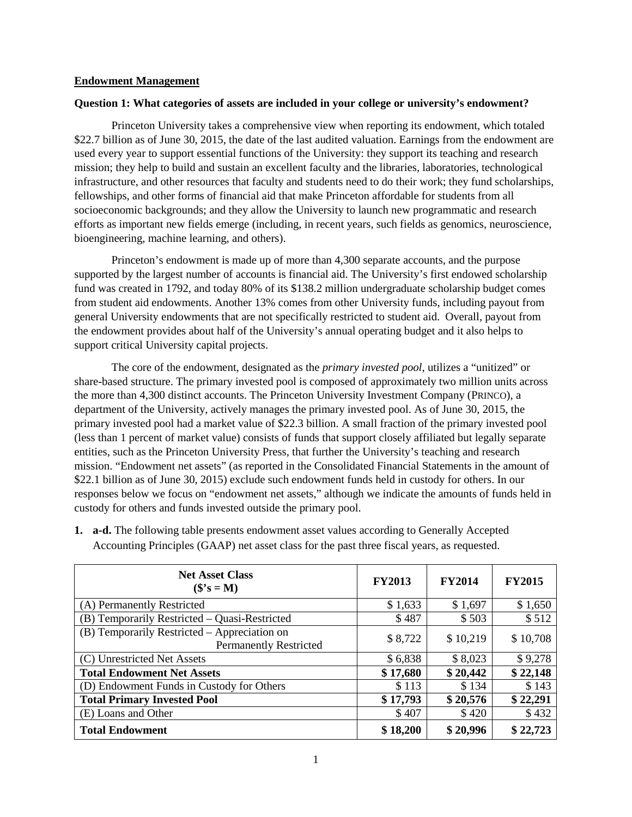#### **Endowment Management**

#### **Question 1: What categories of assets are included in your college or university's endowment?**

Princeton University takes a comprehensive view when reporting its endowment, which totaled \$22.7 billion as of June 30, 2015, the date of the last audited valuation. Earnings from the endowment are used every year to support essential functions of the University: they support its teaching and research mission; they help to build and sustain an excellent faculty and the libraries, laboratories, technological infrastructure, and other resources that faculty and students need to do their work; they fund scholarships, fellowships, and other forms of financial aid that make Princeton affordable for students from all socioeconomic backgrounds; and they allow the University to launch new programmatic and research efforts as important new fields emerge (including, in recent years, such fields as genomics, neuroscience, bioengineering, machine learning, and others).

Princeton's endowment is made up of more than 4,300 separate accounts, and the purpose supported by the largest number of accounts is financial aid. The University's first endowed scholarship fund was created in 1792, and today 80% of its \$138.2 million undergraduate scholarship budget comes from student aid endowments. Another 13% comes from other University funds, including payout from general University endowments that are not specifically restricted to student aid. Overall, payout from the endowment provides about half of the University's annual operating budget and it also helps to support critical University capital projects.

The core of the endowment, designated as the *primary invested pool*, utilizes a "unitized" or share-based structure. The primary invested pool is composed of approximately two million units across the more than 4,300 distinct accounts. The Princeton University Investment Company (PRINCO), a department of the University, actively manages the primary invested pool. As of June 30, 2015, the primary invested pool had a market value of \$22.3 billion. A small fraction of the primary invested pool (less than 1 percent of market value) consists of funds that support closely affiliated but legally separate entities, such as the Princeton University Press, that further the University's teaching and research mission. "Endowment net assets" (as reported in the Consolidated Financial Statements in the amount of \$22.1 billion as of June 30, 2015) exclude such endowment funds held in custody for others. In our responses below we focus on "endowment net assets," although we indicate the amounts of funds held in custody for others and funds invested outside the primary pool.

| <b>Net Asset Class</b><br>$($'s = M)$                                         | <b>FY2013</b> | <b>FY2014</b> | <b>FY2015</b> |
|-------------------------------------------------------------------------------|---------------|---------------|---------------|
| (A) Permanently Restricted                                                    | \$1,633       | \$1,697       | \$1,650       |
| (B) Temporarily Restricted – Quasi-Restricted                                 | \$487         | \$503         | \$512         |
| (B) Temporarily Restricted - Appreciation on<br><b>Permanently Restricted</b> | \$8,722       | \$10,219      | \$10,708      |
| (C) Unrestricted Net Assets                                                   | \$6,838       | \$8,023       | \$9,278       |
| <b>Total Endowment Net Assets</b>                                             | \$17,680      | \$20,442      | \$22,148      |
| (D) Endowment Funds in Custody for Others                                     | \$113         | \$134         | \$143         |
| <b>Total Primary Invested Pool</b>                                            | \$17,793      | \$20,576      | \$22,291      |
| (E) Loans and Other                                                           | \$407         | \$420         | \$432         |
| <b>Total Endowment</b>                                                        | \$18,200      | \$20,996      | \$22,723      |

**1. a-d.** The following table presents endowment asset values according to Generally Accepted Accounting Principles (GAAP) net asset class for the past three fiscal years, as requested.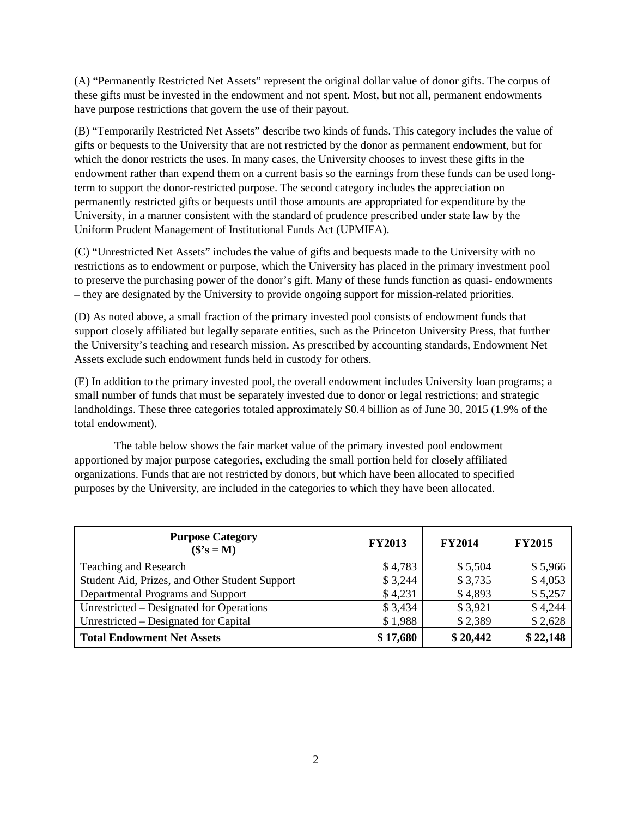(A) "Permanently Restricted Net Assets" represent the original dollar value of donor gifts. The corpus of these gifts must be invested in the endowment and not spent. Most, but not all, permanent endowments have purpose restrictions that govern the use of their payout.

(B) "Temporarily Restricted Net Assets" describe two kinds of funds. This category includes the value of gifts or bequests to the University that are not restricted by the donor as permanent endowment, but for which the donor restricts the uses. In many cases, the University chooses to invest these gifts in the endowment rather than expend them on a current basis so the earnings from these funds can be used longterm to support the donor-restricted purpose. The second category includes the appreciation on permanently restricted gifts or bequests until those amounts are appropriated for expenditure by the University, in a manner consistent with the standard of prudence prescribed under state law by the Uniform Prudent Management of Institutional Funds Act (UPMIFA).

(C) "Unrestricted Net Assets" includes the value of gifts and bequests made to the University with no restrictions as to endowment or purpose, which the University has placed in the primary investment pool to preserve the purchasing power of the donor's gift. Many of these funds function as quasi- endowments – they are designated by the University to provide ongoing support for mission-related priorities.

(D) As noted above, a small fraction of the primary invested pool consists of endowment funds that support closely affiliated but legally separate entities, such as the Princeton University Press, that further the University's teaching and research mission. As prescribed by accounting standards, Endowment Net Assets exclude such endowment funds held in custody for others.

(E) In addition to the primary invested pool, the overall endowment includes University loan programs; a small number of funds that must be separately invested due to donor or legal restrictions; and strategic landholdings. These three categories totaled approximately \$0.4 billion as of June 30, 2015 (1.9% of the total endowment).

The table below shows the fair market value of the primary invested pool endowment apportioned by major purpose categories, excluding the small portion held for closely affiliated organizations. Funds that are not restricted by donors, but which have been allocated to specified purposes by the University, are included in the categories to which they have been allocated.

| <b>Purpose Category</b><br>$($'s = M)$         | <b>FY2013</b> | <b>FY2014</b> | <b>FY2015</b> |
|------------------------------------------------|---------------|---------------|---------------|
| Teaching and Research                          | \$4,783       | \$5,504       | \$5,966       |
| Student Aid, Prizes, and Other Student Support | \$3,244       | \$3,735       | \$4,053       |
| Departmental Programs and Support              | \$4,231       | \$4,893       | \$5,257       |
| Unrestricted – Designated for Operations       | \$3,434       | \$3,921       | \$4,244       |
| Unrestricted – Designated for Capital          | \$1,988       | \$2,389       | \$2,628       |
| <b>Total Endowment Net Assets</b>              | \$17,680      | \$20,442      | \$22,148      |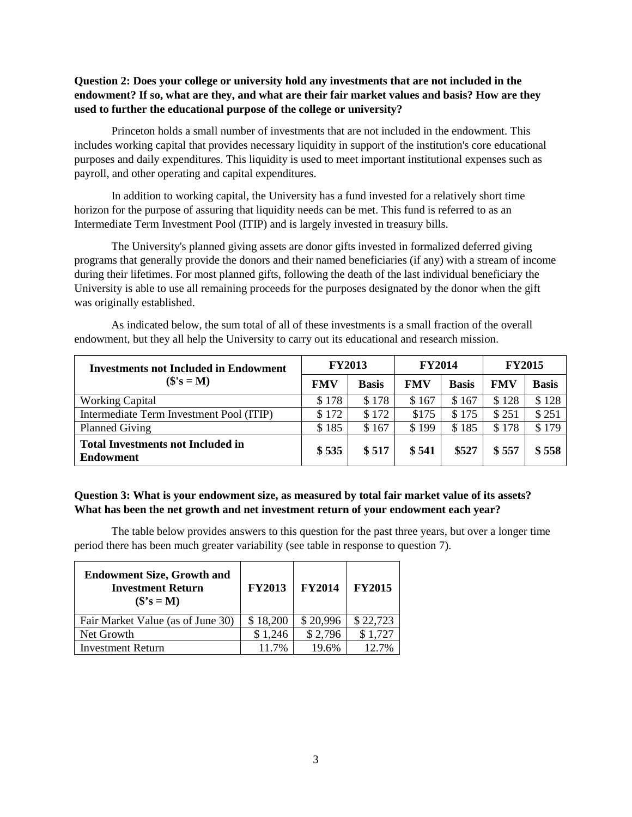### **Question 2: Does your college or university hold any investments that are not included in the endowment? If so, what are they, and what are their fair market values and basis? How are they used to further the educational purpose of the college or university?**

Princeton holds a small number of investments that are not included in the endowment. This includes working capital that provides necessary liquidity in support of the institution's core educational purposes and daily expenditures. This liquidity is used to meet important institutional expenses such as payroll, and other operating and capital expenditures.

In addition to working capital, the University has a fund invested for a relatively short time horizon for the purpose of assuring that liquidity needs can be met. This fund is referred to as an Intermediate Term Investment Pool (ITIP) and is largely invested in treasury bills.

The University's planned giving assets are donor gifts invested in formalized deferred giving programs that generally provide the donors and their named beneficiaries (if any) with a stream of income during their lifetimes. For most planned gifts, following the death of the last individual beneficiary the University is able to use all remaining proceeds for the purposes designated by the donor when the gift was originally established.

| <b>Investments not Included in Endowment</b>                 |            | <b>FY2013</b> | <b>FY2014</b> |              | <b>FY2015</b> |              |
|--------------------------------------------------------------|------------|---------------|---------------|--------------|---------------|--------------|
| $(\mathbf{\$}'\mathbf{s} = \mathbf{M})$                      | <b>FMV</b> | <b>Basis</b>  | <b>FMV</b>    | <b>Basis</b> | <b>FMV</b>    | <b>Basis</b> |
| <b>Working Capital</b>                                       | \$178      | \$178         | \$167         | \$167        | \$128         | \$128        |
| Intermediate Term Investment Pool (ITIP)                     | \$172      | \$172         | \$175         | \$175        | \$251         | \$251        |
| <b>Planned Giving</b>                                        | \$185      | \$167         | \$199         | \$185        | \$178         | \$179        |
| <b>Total Investments not Included in</b><br><b>Endowment</b> | \$535      | \$517         | \$541         | \$527        | \$557         | \$558        |

As indicated below, the sum total of all of these investments is a small fraction of the overall endowment, but they all help the University to carry out its educational and research mission.

### **Question 3: What is your endowment size, as measured by total fair market value of its assets? What has been the net growth and net investment return of your endowment each year?**

The table below provides answers to this question for the past three years, but over a longer time period there has been much greater variability (see table in response to question 7).

| <b>Endowment Size, Growth and</b><br><b>Investment Return</b><br>$($^{\circ}$s = M)$ | <b>FY2013</b> | <b>FY2014</b> | <b>FY2015</b> |
|--------------------------------------------------------------------------------------|---------------|---------------|---------------|
| Fair Market Value (as of June 30)                                                    | \$18,200      | \$20,996      | \$22,723      |
| Net Growth                                                                           | \$1,246       | \$2,796       | \$1,727       |
| <b>Investment Return</b>                                                             | 11.7%         | 19.6%         | 12.7%         |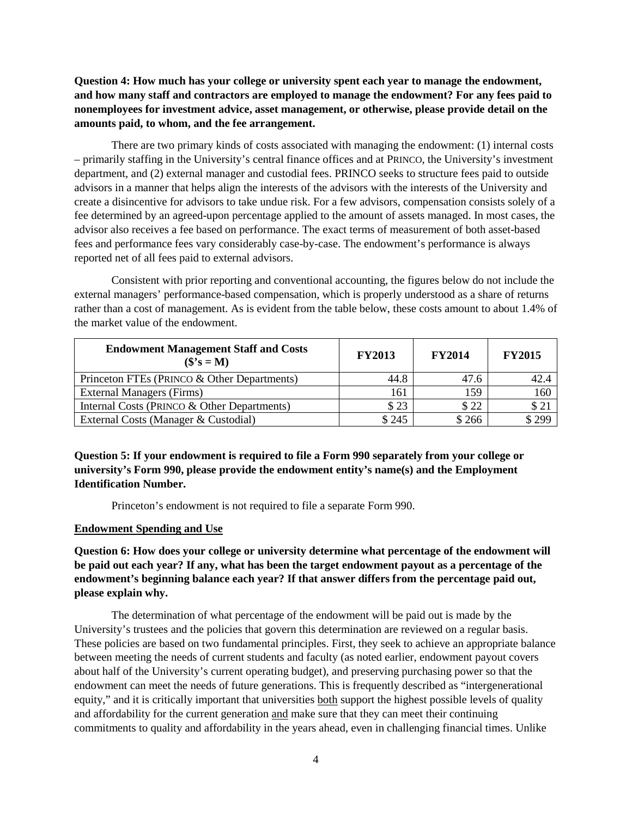## **Question 4: How much has your college or university spent each year to manage the endowment, and how many staff and contractors are employed to manage the endowment? For any fees paid to nonemployees for investment advice, asset management, or otherwise, please provide detail on the amounts paid, to whom, and the fee arrangement.**

There are two primary kinds of costs associated with managing the endowment: (1) internal costs – primarily staffing in the University's central finance offices and at PRINCO, the University's investment department, and (2) external manager and custodial fees. PRINCO seeks to structure fees paid to outside advisors in a manner that helps align the interests of the advisors with the interests of the University and create a disincentive for advisors to take undue risk. For a few advisors, compensation consists solely of a fee determined by an agreed-upon percentage applied to the amount of assets managed. In most cases, the advisor also receives a fee based on performance. The exact terms of measurement of both asset-based fees and performance fees vary considerably case-by-case. The endowment's performance is always reported net of all fees paid to external advisors.

Consistent with prior reporting and conventional accounting, the figures below do not include the external managers' performance-based compensation, which is properly understood as a share of returns rather than a cost of management. As is evident from the table below, these costs amount to about 1.4% of the market value of the endowment.

| <b>Endowment Management Staff and Costs</b><br>$(\mathbf{\$}^{\prime}\mathbf{s} = \mathbf{M})$ | <b>FY2013</b> | <b>FY2014</b> | <b>FY2015</b> |
|------------------------------------------------------------------------------------------------|---------------|---------------|---------------|
| Princeton FTEs (PRINCO & Other Departments)                                                    | 44.8          | 47.6          | 42.4          |
| <b>External Managers (Firms)</b>                                                               | 161           | 159           | 160           |
| Internal Costs (PRINCO & Other Departments)                                                    | \$23          | \$22          | \$21          |
| External Costs (Manager & Custodial)                                                           | \$245         | \$266         | $*299$        |

**Question 5: If your endowment is required to file a Form 990 separately from your college or university's Form 990, please provide the endowment entity's name(s) and the Employment Identification Number.**

Princeton's endowment is not required to file a separate Form 990.

#### **Endowment Spending and Use**

**Question 6: How does your college or university determine what percentage of the endowment will be paid out each year? If any, what has been the target endowment payout as a percentage of the endowment's beginning balance each year? If that answer differs from the percentage paid out, please explain why.** 

The determination of what percentage of the endowment will be paid out is made by the University's trustees and the policies that govern this determination are reviewed on a regular basis. These policies are based on two fundamental principles. First, they seek to achieve an appropriate balance between meeting the needs of current students and faculty (as noted earlier, endowment payout covers about half of the University's current operating budget), and preserving purchasing power so that the endowment can meet the needs of future generations. This is frequently described as "intergenerational equity," and it is critically important that universities both support the highest possible levels of quality and affordability for the current generation and make sure that they can meet their continuing commitments to quality and affordability in the years ahead, even in challenging financial times. Unlike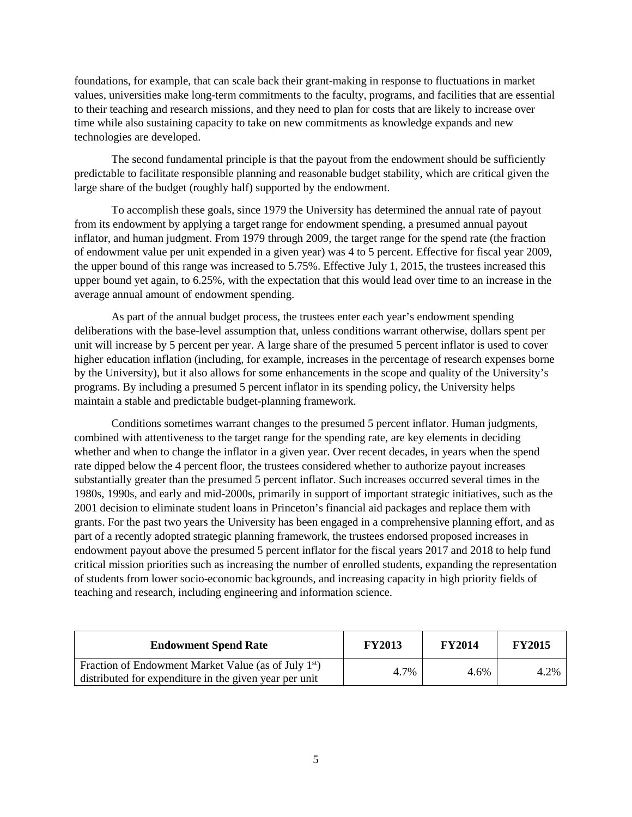foundations, for example, that can scale back their grant-making in response to fluctuations in market values, universities make long-term commitments to the faculty, programs, and facilities that are essential to their teaching and research missions, and they need to plan for costs that are likely to increase over time while also sustaining capacity to take on new commitments as knowledge expands and new technologies are developed.

The second fundamental principle is that the payout from the endowment should be sufficiently predictable to facilitate responsible planning and reasonable budget stability, which are critical given the large share of the budget (roughly half) supported by the endowment.

To accomplish these goals, since 1979 the University has determined the annual rate of payout from its endowment by applying a target range for endowment spending, a presumed annual payout inflator, and human judgment. From 1979 through 2009, the target range for the spend rate (the fraction of endowment value per unit expended in a given year) was 4 to 5 percent. Effective for fiscal year 2009, the upper bound of this range was increased to 5.75%. Effective July 1, 2015, the trustees increased this upper bound yet again, to 6.25%, with the expectation that this would lead over time to an increase in the average annual amount of endowment spending.

As part of the annual budget process, the trustees enter each year's endowment spending deliberations with the base-level assumption that, unless conditions warrant otherwise, dollars spent per unit will increase by 5 percent per year. A large share of the presumed 5 percent inflator is used to cover higher education inflation (including, for example, increases in the percentage of research expenses borne by the University), but it also allows for some enhancements in the scope and quality of the University's programs. By including a presumed 5 percent inflator in its spending policy, the University helps maintain a stable and predictable budget-planning framework.

Conditions sometimes warrant changes to the presumed 5 percent inflator. Human judgments, combined with attentiveness to the target range for the spending rate, are key elements in deciding whether and when to change the inflator in a given year. Over recent decades, in years when the spend rate dipped below the 4 percent floor, the trustees considered whether to authorize payout increases substantially greater than the presumed 5 percent inflator. Such increases occurred several times in the 1980s, 1990s, and early and mid-2000s, primarily in support of important strategic initiatives, such as the 2001 decision to eliminate student loans in Princeton's financial aid packages and replace them with grants. For the past two years the University has been engaged in a comprehensive planning effort, and as part of a recently adopted strategic planning framework, the trustees endorsed proposed increases in endowment payout above the presumed 5 percent inflator for the fiscal years 2017 and 2018 to help fund critical mission priorities such as increasing the number of enrolled students, expanding the representation of students from lower socio-economic backgrounds, and increasing capacity in high priority fields of teaching and research, including engineering and information science.

| <b>Endowment Spend Rate</b>                                      | <b>FY2013</b> | <b>FY2014</b> | <b>FY2015</b> |
|------------------------------------------------------------------|---------------|---------------|---------------|
| Fraction of Endowment Market Value (as of July 1 <sup>st</sup> ) | 4.7%          | 4.6%          | 4.2%          |
| distributed for expenditure in the given year per unit           |               |               |               |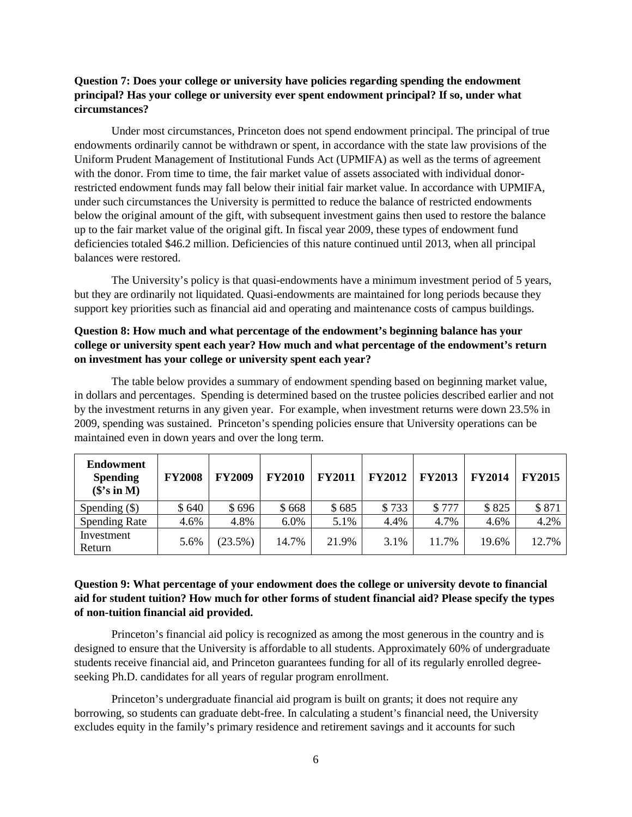#### **Question 7: Does your college or university have policies regarding spending the endowment principal? Has your college or university ever spent endowment principal? If so, under what circumstances?**

Under most circumstances, Princeton does not spend endowment principal. The principal of true endowments ordinarily cannot be withdrawn or spent, in accordance with the state law provisions of the Uniform Prudent Management of Institutional Funds Act (UPMIFA) as well as the terms of agreement with the donor. From time to time, the fair market value of assets associated with individual donorrestricted endowment funds may fall below their initial fair market value. In accordance with UPMIFA, under such circumstances the University is permitted to reduce the balance of restricted endowments below the original amount of the gift, with subsequent investment gains then used to restore the balance up to the fair market value of the original gift. In fiscal year 2009, these types of endowment fund deficiencies totaled \$46.2 million. Deficiencies of this nature continued until 2013, when all principal balances were restored.

The University's policy is that quasi-endowments have a minimum investment period of 5 years, but they are ordinarily not liquidated. Quasi-endowments are maintained for long periods because they support key priorities such as financial aid and operating and maintenance costs of campus buildings.

## **Question 8: How much and what percentage of the endowment's beginning balance has your college or university spent each year? How much and what percentage of the endowment's return on investment has your college or university spent each year?**

The table below provides a summary of endowment spending based on beginning market value, in dollars and percentages. Spending is determined based on the trustee policies described earlier and not by the investment returns in any given year. For example, when investment returns were down 23.5% in 2009, spending was sustained. Princeton's spending policies ensure that University operations can be maintained even in down years and over the long term.

| <b>Endowment</b><br><b>Spending</b><br>$(\$$ 's in M) | <b>FY2008</b> | <b>FY2009</b> | <b>FY2010</b> | <b>FY2011</b> | <b>FY2012</b> | <b>FY2013</b> | <b>FY2014</b> | <b>FY2015</b> |
|-------------------------------------------------------|---------------|---------------|---------------|---------------|---------------|---------------|---------------|---------------|
| Spending $(\$)$                                       | \$640         | \$696         | \$668         | \$685         | \$733         | \$777         | \$825         | \$871         |
| <b>Spending Rate</b>                                  | 4.6%          | 4.8%          | 6.0%          | 5.1%          | 4.4%          | 4.7%          | 4.6%          | 4.2%          |
| Investment<br>Return                                  | 5.6%          | $(23.5\%)$    | 14.7%         | 21.9%         | 3.1%          | 11.7%         | 19.6%         | 12.7%         |

## **Question 9: What percentage of your endowment does the college or university devote to financial aid for student tuition? How much for other forms of student financial aid? Please specify the types of non-tuition financial aid provided.**

Princeton's financial aid policy is recognized as among the most generous in the country and is designed to ensure that the University is affordable to all students. Approximately 60% of undergraduate students receive financial aid, and Princeton guarantees funding for all of its regularly enrolled degreeseeking Ph.D. candidates for all years of regular program enrollment.

Princeton's undergraduate financial aid program is built on grants; it does not require any borrowing, so students can graduate debt-free. In calculating a student's financial need, the University excludes equity in the family's primary residence and retirement savings and it accounts for such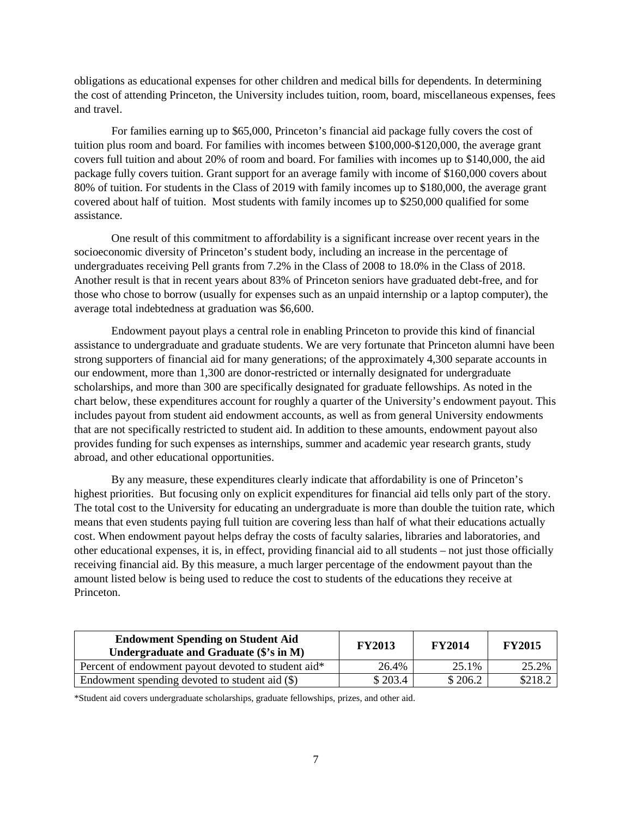obligations as educational expenses for other children and medical bills for dependents. In determining the cost of attending Princeton, the University includes tuition, room, board, miscellaneous expenses, fees and travel.

For families earning up to \$65,000, Princeton's financial aid package fully covers the cost of tuition plus room and board. For families with incomes between \$100,000-\$120,000, the average grant covers full tuition and about 20% of room and board. For families with incomes up to \$140,000, the aid package fully covers tuition. Grant support for an average family with income of \$160,000 covers about 80% of tuition. For students in the Class of 2019 with family incomes up to \$180,000, the average grant covered about half of tuition. Most students with family incomes up to \$250,000 qualified for some assistance.

One result of this commitment to affordability is a significant increase over recent years in the socioeconomic diversity of Princeton's student body, including an increase in the percentage of undergraduates receiving Pell grants from 7.2% in the Class of 2008 to 18.0% in the Class of 2018. Another result is that in recent years about 83% of Princeton seniors have graduated debt-free, and for those who chose to borrow (usually for expenses such as an unpaid internship or a laptop computer), the average total indebtedness at graduation was \$6,600.

Endowment payout plays a central role in enabling Princeton to provide this kind of financial assistance to undergraduate and graduate students. We are very fortunate that Princeton alumni have been strong supporters of financial aid for many generations; of the approximately 4,300 separate accounts in our endowment, more than 1,300 are donor-restricted or internally designated for undergraduate scholarships, and more than 300 are specifically designated for graduate fellowships. As noted in the chart below, these expenditures account for roughly a quarter of the University's endowment payout. This includes payout from student aid endowment accounts, as well as from general University endowments that are not specifically restricted to student aid. In addition to these amounts, endowment payout also provides funding for such expenses as internships, summer and academic year research grants, study abroad, and other educational opportunities.

By any measure, these expenditures clearly indicate that affordability is one of Princeton's highest priorities. But focusing only on explicit expenditures for financial aid tells only part of the story. The total cost to the University for educating an undergraduate is more than double the tuition rate, which means that even students paying full tuition are covering less than half of what their educations actually cost. When endowment payout helps defray the costs of faculty salaries, libraries and laboratories, and other educational expenses, it is, in effect, providing financial aid to all students – not just those officially receiving financial aid. By this measure, a much larger percentage of the endowment payout than the amount listed below is being used to reduce the cost to students of the educations they receive at Princeton.

| <b>Endowment Spending on Student Aid</b><br>Undergraduate and Graduate (\$'s in M) | <b>FY2013</b> | <b>FY2014</b> | <b>FY2015</b> |
|------------------------------------------------------------------------------------|---------------|---------------|---------------|
| Percent of endowment payout devoted to student aid*                                | 26.4%         | 25.1%         | 25.2%         |
| Endowment spending devoted to student aid (\$)                                     | \$203.4       | \$206.2       | \$218.2       |

\*Student aid covers undergraduate scholarships, graduate fellowships, prizes, and other aid.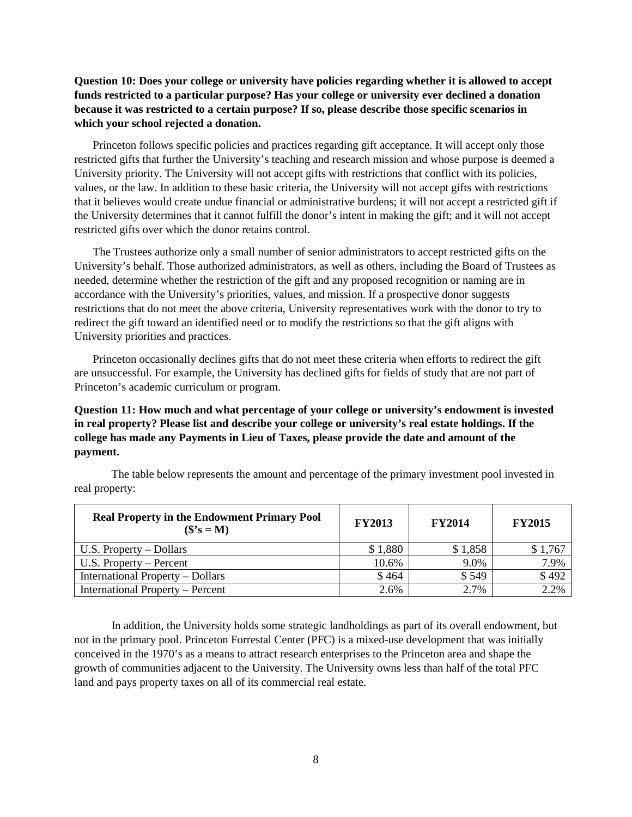## **Question 10: Does your college or university have policies regarding whether it is allowed to accept funds restricted to a particular purpose? Has your college or university ever declined a donation because it was restricted to a certain purpose? If so, please describe those specific scenarios in which your school rejected a donation.**

Princeton follows specific policies and practices regarding gift acceptance. It will accept only those restricted gifts that further the University's teaching and research mission and whose purpose is deemed a University priority. The University will not accept gifts with restrictions that conflict with its policies, values, or the law. In addition to these basic criteria, the University will not accept gifts with restrictions that it believes would create undue financial or administrative burdens; it will not accept a restricted gift if the University determines that it cannot fulfill the donor's intent in making the gift; and it will not accept restricted gifts over which the donor retains control.

The Trustees authorize only a small number of senior administrators to accept restricted gifts on the University's behalf. Those authorized administrators, as well as others, including the Board of Trustees as needed, determine whether the restriction of the gift and any proposed recognition or naming are in accordance with the University's priorities, values, and mission. If a prospective donor suggests restrictions that do not meet the above criteria, University representatives work with the donor to try to redirect the gift toward an identified need or to modify the restrictions so that the gift aligns with University priorities and practices.

Princeton occasionally declines gifts that do not meet these criteria when efforts to redirect the gift are unsuccessful. For example, the University has declined gifts for fields of study that are not part of Princeton's academic curriculum or program.

# **Question 11: How much and what percentage of your college or university's endowment is invested in real property? Please list and describe your college or university's real estate holdings. If the college has made any Payments in Lieu of Taxes, please provide the date and amount of the payment.**

The table below represents the amount and percentage of the primary investment pool invested in real property:

| <b>Real Property in the Endowment Primary Pool</b><br>$(\mathbf{\$}^{\prime}\mathbf{s} = \mathbf{M})$ | <b>FY2013</b> | <b>FY2014</b> | <b>FY2015</b> |
|-------------------------------------------------------------------------------------------------------|---------------|---------------|---------------|
| $U.S.$ Property – Dollars                                                                             | \$1,880       | \$1,858       | \$1,767       |
| U.S. Property – Percent                                                                               | 10.6%         | 9.0%          | 7.9%          |
| International Property – Dollars                                                                      | \$464         | \$549         | \$492         |
| International Property – Percent                                                                      | 2.6%          | 2.7%          | 2.2%          |

In addition, the University holds some strategic landholdings as part of its overall endowment, but not in the primary pool. Princeton Forrestal Center (PFC) is a mixed-use development that was initially conceived in the 1970's as a means to attract research enterprises to the Princeton area and shape the growth of communities adjacent to the University. The University owns less than half of the total PFC land and pays property taxes on all of its commercial real estate.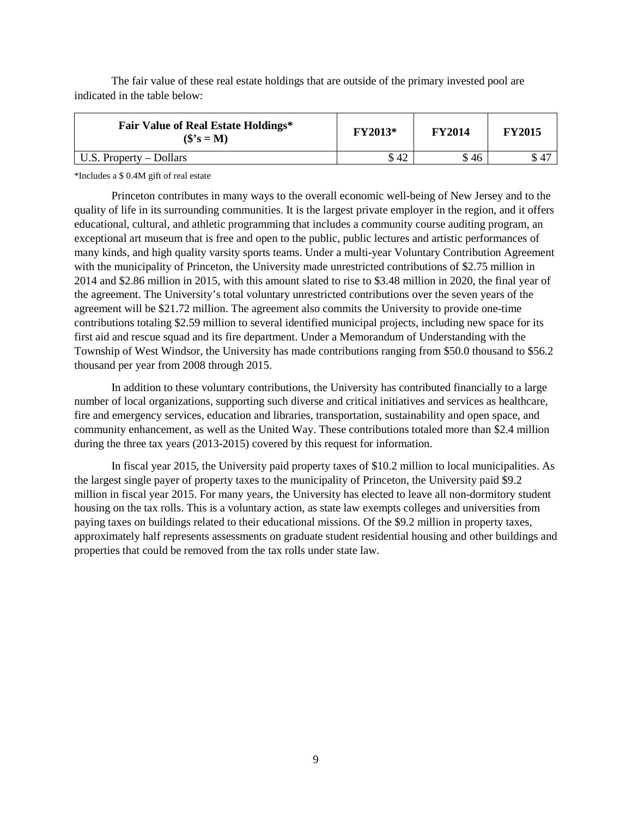The fair value of these real estate holdings that are outside of the primary invested pool are indicated in the table below:

| <b>Fair Value of Real Estate Holdings*</b><br>$(\mathbf{\$}^{\prime}\mathbf{s} = \mathbf{M})$ | FY2013* | <b>FY2014</b> | <b>FY2015</b> |
|-----------------------------------------------------------------------------------------------|---------|---------------|---------------|
| U.S. Property $-$ Dollars                                                                     | \$ 42   | \$46          | -47           |

\*Includes a \$ 0.4M gift of real estate

Princeton contributes in many ways to the overall economic well-being of New Jersey and to the quality of life in its surrounding communities. It is the largest private employer in the region, and it offers educational, cultural, and athletic programming that includes a community course auditing program, an exceptional art museum that is free and open to the public, public lectures and artistic performances of many kinds, and high quality varsity sports teams. Under a multi-year Voluntary Contribution Agreement with the municipality of Princeton, the University made unrestricted contributions of \$2.75 million in 2014 and \$2.86 million in 2015, with this amount slated to rise to \$3.48 million in 2020, the final year of the agreement. The University's total voluntary unrestricted contributions over the seven years of the agreement will be \$21.72 million. The agreement also commits the University to provide one-time contributions totaling \$2.59 million to several identified municipal projects, including new space for its first aid and rescue squad and its fire department. Under a Memorandum of Understanding with the Township of West Windsor, the University has made contributions ranging from \$50.0 thousand to \$56.2 thousand per year from 2008 through 2015.

In addition to these voluntary contributions, the University has contributed financially to a large number of local organizations, supporting such diverse and critical initiatives and services as healthcare, fire and emergency services, education and libraries, transportation, sustainability and open space, and community enhancement, as well as the United Way. These contributions totaled more than \$2.4 million during the three tax years (2013-2015) covered by this request for information.

In fiscal year 2015, the University paid property taxes of \$10.2 million to local municipalities. As the largest single payer of property taxes to the municipality of Princeton, the University paid \$9.2 million in fiscal year 2015. For many years, the University has elected to leave all non-dormitory student housing on the tax rolls. This is a voluntary action, as state law exempts colleges and universities from paying taxes on buildings related to their educational missions. Of the \$9.2 million in property taxes, approximately half represents assessments on graduate student residential housing and other buildings and properties that could be removed from the tax rolls under state law.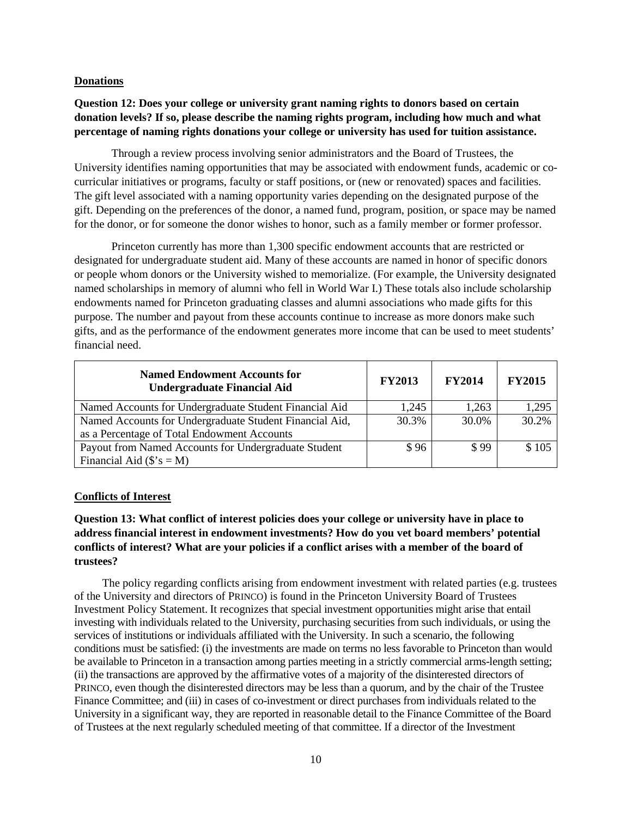#### **Donations**

# **Question 12: Does your college or university grant naming rights to donors based on certain donation levels? If so, please describe the naming rights program, including how much and what percentage of naming rights donations your college or university has used for tuition assistance.**

Through a review process involving senior administrators and the Board of Trustees, the University identifies naming opportunities that may be associated with endowment funds, academic or cocurricular initiatives or programs, faculty or staff positions, or (new or renovated) spaces and facilities. The gift level associated with a naming opportunity varies depending on the designated purpose of the gift. Depending on the preferences of the donor, a named fund, program, position, or space may be named for the donor, or for someone the donor wishes to honor, such as a family member or former professor.

Princeton currently has more than 1,300 specific endowment accounts that are restricted or designated for undergraduate student aid. Many of these accounts are named in honor of specific donors or people whom donors or the University wished to memorialize. (For example, the University designated named scholarships in memory of alumni who fell in World War I.) These totals also include scholarship endowments named for Princeton graduating classes and alumni associations who made gifts for this purpose. The number and payout from these accounts continue to increase as more donors make such gifts, and as the performance of the endowment generates more income that can be used to meet students' financial need.

| <b>Named Endowment Accounts for</b><br><b>Undergraduate Financial Aid</b>                              | <b>FY2013</b> | <b>FY2014</b> | <b>FY2015</b> |
|--------------------------------------------------------------------------------------------------------|---------------|---------------|---------------|
| Named Accounts for Undergraduate Student Financial Aid                                                 | 1,245         | 1,263         | 1,295         |
| Named Accounts for Undergraduate Student Financial Aid,<br>as a Percentage of Total Endowment Accounts | 30.3%         | 30.0%         | 30.2%         |
| Payout from Named Accounts for Undergraduate Student                                                   | \$96          | \$99          | \$105         |
| Financial Aid $(\$$ 's = M)                                                                            |               |               |               |

#### **Conflicts of Interest**

## **Question 13: What conflict of interest policies does your college or university have in place to address financial interest in endowment investments? How do you vet board members' potential conflicts of interest? What are your policies if a conflict arises with a member of the board of trustees?**

The policy regarding conflicts arising from endowment investment with related parties (e.g. trustees of the University and directors of PRINCO) is found in the Princeton University Board of Trustees Investment Policy Statement. It recognizes that special investment opportunities might arise that entail investing with individuals related to the University, purchasing securities from such individuals, or using the services of institutions or individuals affiliated with the University. In such a scenario, the following conditions must be satisfied: (i) the investments are made on terms no less favorable to Princeton than would be available to Princeton in a transaction among parties meeting in a strictly commercial arms-length setting; (ii) the transactions are approved by the affirmative votes of a majority of the disinterested directors of PRINCO, even though the disinterested directors may be less than a quorum, and by the chair of the Trustee Finance Committee; and (iii) in cases of co-investment or direct purchases from individuals related to the University in a significant way, they are reported in reasonable detail to the Finance Committee of the Board of Trustees at the next regularly scheduled meeting of that committee. If a director of the Investment